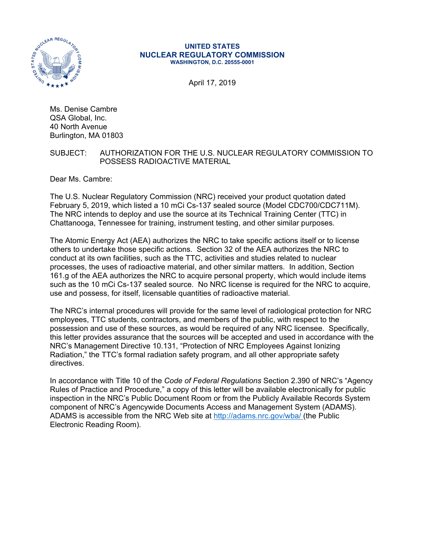

#### **UNITED STATES NUCLEAR REGULATORY COMMISSION WASHINGTON, D.C. 20555-0001**

April 17, 2019

Ms. Denise Cambre QSA Global, Inc. 40 North Avenue Burlington, MA 01803

### SUBJECT: AUTHORIZATION FOR THE U.S. NUCLEAR REGULATORY COMMISSION TO POSSESS RADIOACTIVE MATERIAL

Dear Ms. Cambre:

The U.S. Nuclear Regulatory Commission (NRC) received your product quotation dated February 5, 2019, which listed a 10 mCi Cs-137 sealed source (Model CDC700/CDC711M). The NRC intends to deploy and use the source at its Technical Training Center (TTC) in Chattanooga, Tennessee for training, instrument testing, and other similar purposes.

The Atomic Energy Act (AEA) authorizes the NRC to take specific actions itself or to license others to undertake those specific actions. Section 32 of the AEA authorizes the NRC to conduct at its own facilities, such as the TTC, activities and studies related to nuclear processes, the uses of radioactive material, and other similar matters. In addition, Section 161.g of the AEA authorizes the NRC to acquire personal property, which would include items such as the 10 mCi Cs-137 sealed source. No NRC license is required for the NRC to acquire, use and possess, for itself, licensable quantities of radioactive material.

The NRC's internal procedures will provide for the same level of radiological protection for NRC employees, TTC students, contractors, and members of the public, with respect to the possession and use of these sources, as would be required of any NRC licensee. Specifically, this letter provides assurance that the sources will be accepted and used in accordance with the NRC's Management Directive 10.131, "Protection of NRC Employees Against Ionizing Radiation," the TTC's formal radiation safety program, and all other appropriate safety directives.

In accordance with Title 10 of the *Code of Federal Regulations* Section 2.390 of NRC's "Agency Rules of Practice and Procedure," a copy of this letter will be available electronically for public inspection in the NRC's Public Document Room or from the Publicly Available Records System component of NRC's Agencywide Documents Access and Management System (ADAMS). ADAMS is accessible from the NRC Web site at http://adams.nrc.gov/wba/ (the Public Electronic Reading Room).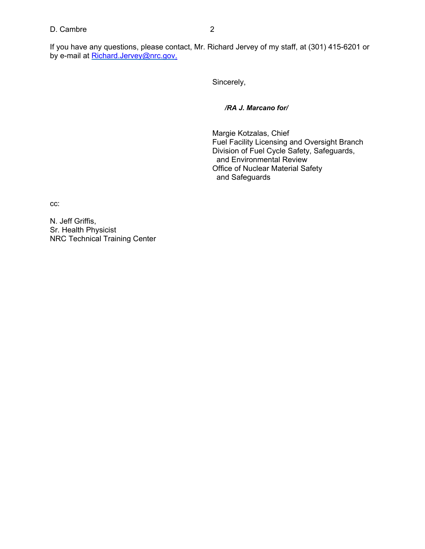# D. Cambre 2

If you have any questions, please contact, Mr. Richard Jervey of my staff, at (301) 415-6201 or by e-mail at Richard.Jervey@nrc.gov.

Sincerely,

*/RA J. Marcano for/*

Margie Kotzalas, Chief Fuel Facility Licensing and Oversight Branch Division of Fuel Cycle Safety, Safeguards, and Environmental Review Office of Nuclear Material Safety and Safeguards

cc:

N. Jeff Griffis, Sr. Health Physicist NRC Technical Training Center